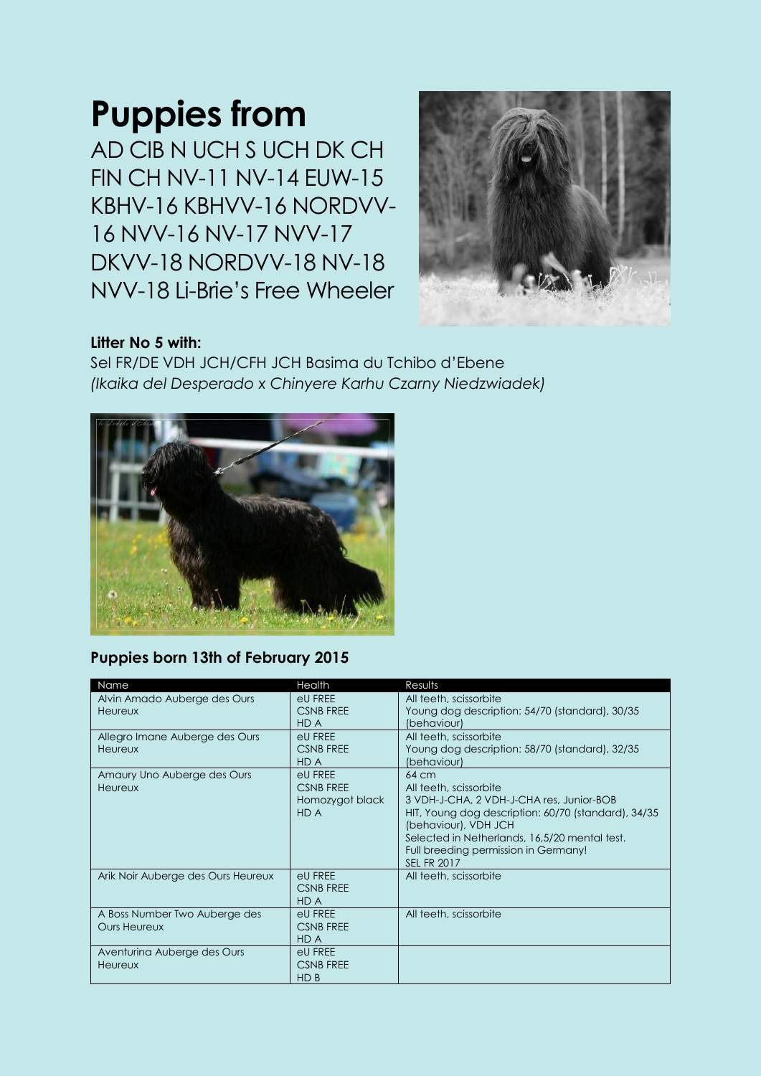## **Puppies from** AD CIB N UCH S UCH DK CH

FIN CH NV-11 NV-14 EUW-15 KBHV-16 KBHVV-16 NORDVV-16 NVV-16 NV-17 NVV-17 DKVV-18 NORDVV-18 NV-18 NVV-18 Li-Brie's Free Wheeler



## **Litter No 5 with:**

Sel FR/DE VDH JCH/CFH JCH Basima du Tchibo d'Ebene *(Ikaika del Desperado x Chinyere Karhu Czarny Niedzwiadek)*



## **Puppies born 13th of February 2015**

| Name                                                 | Health                                                 | Results                                                                                                                                                                                                                                                                             |
|------------------------------------------------------|--------------------------------------------------------|-------------------------------------------------------------------------------------------------------------------------------------------------------------------------------------------------------------------------------------------------------------------------------------|
| Alvin Amado Auberge des Ours<br><b>Heureux</b>       | eU FREE<br><b>CSNB FREE</b><br>HD A                    | All teeth, scissorbite<br>Young dog description: 54/70 (standard), 30/35<br>(behaviour)                                                                                                                                                                                             |
| Allegro Imane Auberge des Ours<br><b>Heureux</b>     | eU FREE<br><b>CSNB FREE</b><br>HD A                    | All teeth, scissorbite<br>Young dog description: 58/70 (standard), 32/35<br>(behaviour)                                                                                                                                                                                             |
| Amaury Uno Auberge des Ours<br><b>Heureux</b>        | eU FREE<br><b>CSNB FREE</b><br>Homozygot black<br>HD A | $64 \text{ cm}$<br>All teeth, scissorbite<br>3 VDH-J-CHA, 2 VDH-J-CHA res, Junior-BOB<br>HIT, Young dog description: 60/70 (standard), 34/35<br>(behaviour), VDH JCH<br>Selected in Netherlands, 16,5/20 mental test.<br>Full breeding permission in Germany!<br><b>SEL FR 2017</b> |
| Arik Noir Auberge des Ours Heureux                   | eU FREE<br><b>CSNB FREE</b><br>HD A                    | All teeth, scissorbite                                                                                                                                                                                                                                                              |
| A Boss Number Two Auberge des<br><b>Ours Heureux</b> | eU FREE<br><b>CSNB FREE</b><br>HD A                    | All teeth, scissorbite                                                                                                                                                                                                                                                              |
| Aventuring Auberge des Ours<br>Heureux               | eU FREE<br><b>CSNB FREE</b><br>HD <sub>B</sub>         |                                                                                                                                                                                                                                                                                     |